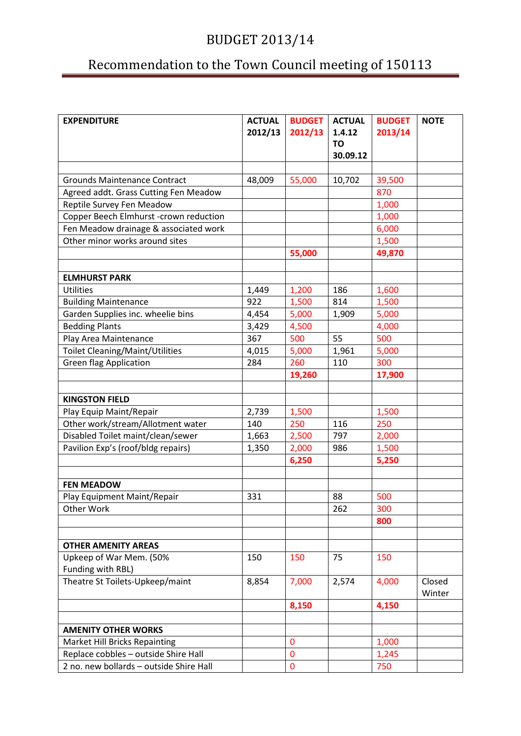## Recommendation to the Town Council meeting of 150113

| <b>EXPENDITURE</b>                                                    | <b>ACTUAL</b> | <b>BUDGET</b> | <b>ACTUAL</b>         | <b>BUDGET</b>  | <b>NOTE</b> |
|-----------------------------------------------------------------------|---------------|---------------|-----------------------|----------------|-------------|
|                                                                       | 2012/13       | 2012/13       | 1.4.12                | 2013/14        |             |
|                                                                       |               |               | <b>TO</b><br>30.09.12 |                |             |
|                                                                       |               |               |                       |                |             |
| <b>Grounds Maintenance Contract</b>                                   | 48,009        | 55,000        | 10,702                | 39,500         |             |
| Agreed addt. Grass Cutting Fen Meadow                                 |               |               |                       | 870            |             |
| Reptile Survey Fen Meadow                                             |               |               |                       | 1,000          |             |
| Copper Beech Elmhurst -crown reduction                                |               |               |                       | 1,000          |             |
| Fen Meadow drainage & associated work                                 |               |               |                       | 6,000          |             |
| Other minor works around sites                                        |               |               |                       | 1,500          |             |
|                                                                       |               | 55,000        |                       | 49,870         |             |
|                                                                       |               |               |                       |                |             |
| <b>ELMHURST PARK</b>                                                  |               |               |                       |                |             |
| <b>Utilities</b>                                                      | 1,449         | 1,200         | 186                   | 1,600          |             |
| <b>Building Maintenance</b>                                           | 922           | 1,500         | 814                   | 1,500          |             |
| Garden Supplies inc. wheelie bins                                     | 4,454         | 5,000         | 1,909                 | 5,000          |             |
| <b>Bedding Plants</b>                                                 | 3,429         | 4,500         |                       | 4,000          |             |
| Play Area Maintenance                                                 | 367           | 500           | 55                    | 500            |             |
| <b>Toilet Cleaning/Maint/Utilities</b>                                | 4,015         | 5,000         | 1,961                 | 5,000          |             |
| <b>Green flag Application</b>                                         | 284           | 260           | 110                   | 300            |             |
|                                                                       |               | 19,260        |                       | 17,900         |             |
|                                                                       |               |               |                       |                |             |
| <b>KINGSTON FIELD</b>                                                 |               |               |                       |                |             |
| Play Equip Maint/Repair                                               | 2,739         | 1,500         |                       | 1,500          |             |
| Other work/stream/Allotment water                                     | 140           | 250           | 116                   | 250            |             |
| Disabled Toilet maint/clean/sewer                                     | 1,663         | 2,500         | 797                   | 2,000          |             |
| Pavilion Exp's (roof/bldg repairs)                                    | 1,350         | 2,000         | 986                   | 1,500          |             |
|                                                                       |               | 6,250         |                       | 5,250          |             |
|                                                                       |               |               |                       |                |             |
| <b>FEN MEADOW</b>                                                     |               |               |                       |                |             |
| Play Equipment Maint/Repair                                           | 331           |               | 88                    | 500            |             |
| Other Work                                                            |               |               | 262                   | 300            |             |
|                                                                       |               |               |                       | 800            |             |
|                                                                       |               |               |                       |                |             |
| <b>OTHER AMENITY AREAS</b>                                            |               |               |                       |                |             |
| Upkeep of War Mem. (50%                                               | 150           | 150           | 75                    | 150            |             |
| Funding with RBL)                                                     |               |               |                       |                |             |
| Theatre St Toilets-Upkeep/maint                                       | 8,854         | 7,000         | 2,574                 | 4,000          | Closed      |
|                                                                       |               |               |                       |                | Winter      |
|                                                                       |               | 8,150         |                       | 4,150          |             |
| <b>AMENITY OTHER WORKS</b>                                            |               |               |                       |                |             |
|                                                                       |               | $\bf{0}$      |                       |                |             |
| Market Hill Bricks Repainting<br>Replace cobbles - outside Shire Hall |               | $\mathbf{0}$  |                       | 1,000<br>1,245 |             |
| 2 no. new bollards - outside Shire Hall                               |               |               |                       |                |             |
|                                                                       |               | 0             |                       | 750            |             |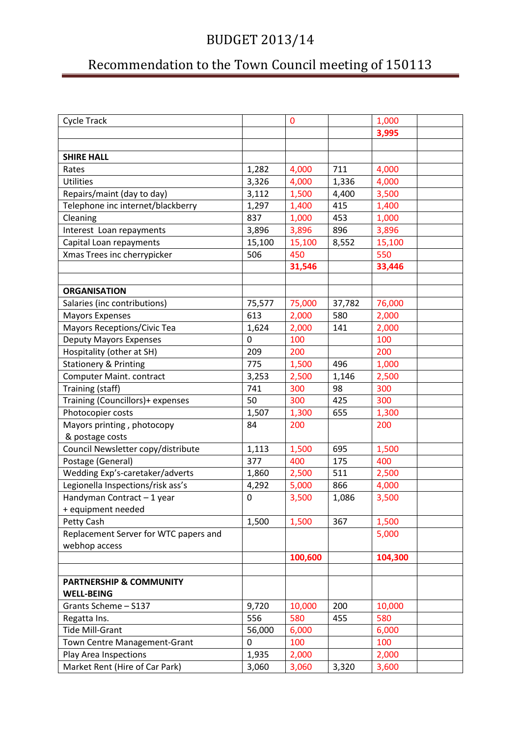## Recommendation to the Town Council meeting of 150113

| <b>Cycle Track</b>                    |             | 0       |        | 1,000   |  |
|---------------------------------------|-------------|---------|--------|---------|--|
|                                       |             |         |        | 3,995   |  |
|                                       |             |         |        |         |  |
| <b>SHIRE HALL</b>                     |             |         |        |         |  |
| Rates                                 | 1,282       | 4,000   | 711    | 4,000   |  |
| <b>Utilities</b>                      | 3,326       | 4,000   | 1,336  | 4,000   |  |
| Repairs/maint (day to day)            | 3,112       | 1,500   | 4,400  | 3,500   |  |
| Telephone inc internet/blackberry     | 1,297       | 1,400   | 415    | 1,400   |  |
| Cleaning                              | 837         | 1,000   | 453    | 1,000   |  |
| Interest Loan repayments              | 3,896       | 3,896   | 896    | 3,896   |  |
| Capital Loan repayments               | 15,100      | 15,100  | 8,552  | 15,100  |  |
| Xmas Trees inc cherrypicker           | 506         | 450     |        | 550     |  |
|                                       |             | 31,546  |        | 33,446  |  |
|                                       |             |         |        |         |  |
| <b>ORGANISATION</b>                   |             |         |        |         |  |
| Salaries (inc contributions)          | 75,577      | 75,000  | 37,782 | 76,000  |  |
| <b>Mayors Expenses</b>                | 613         | 2,000   | 580    | 2,000   |  |
| Mayors Receptions/Civic Tea           | 1,624       | 2,000   | 141    | 2,000   |  |
| <b>Deputy Mayors Expenses</b>         | $\mathbf 0$ | 100     |        | 100     |  |
| Hospitality (other at SH)             | 209         | 200     |        | 200     |  |
| <b>Stationery &amp; Printing</b>      | 775         | 1,500   | 496    | 1,000   |  |
| Computer Maint. contract              | 3,253       | 2,500   | 1,146  | 2,500   |  |
| Training (staff)                      | 741         | 300     | 98     | 300     |  |
| Training (Councillors)+ expenses      | 50          | 300     | 425    | 300     |  |
| Photocopier costs                     | 1,507       | 1,300   | 655    | 1,300   |  |
| Mayors printing, photocopy            | 84          | 200     |        | 200     |  |
| & postage costs                       |             |         |        |         |  |
| Council Newsletter copy/distribute    | 1,113       | 1,500   | 695    | 1,500   |  |
| Postage (General)                     | 377         | 400     | 175    | 400     |  |
| Wedding Exp's-caretaker/adverts       | 1,860       | 2,500   | 511    | 2,500   |  |
| Legionella Inspections/risk ass's     | 4,292       | 5,000   | 866    | 4,000   |  |
| Handyman Contract - 1 year            | 0           | 3,500   | 1,086  | 3,500   |  |
| + equipment needed                    |             |         |        |         |  |
| Petty Cash                            | 1,500       | 1,500   | 367    | 1,500   |  |
| Replacement Server for WTC papers and |             |         |        | 5,000   |  |
| webhop access                         |             |         |        |         |  |
|                                       |             | 100,600 |        | 104,300 |  |
|                                       |             |         |        |         |  |
| <b>PARTNERSHIP &amp; COMMUNITY</b>    |             |         |        |         |  |
| <b>WELL-BEING</b>                     |             |         |        |         |  |
| Grants Scheme - S137                  | 9,720       | 10,000  | 200    | 10,000  |  |
| Regatta Ins.                          | 556         | 580     | 455    | 580     |  |
| <b>Tide Mill-Grant</b>                | 56,000      | 6,000   |        | 6,000   |  |
| Town Centre Management-Grant          | 0           | 100     |        | 100     |  |
| Play Area Inspections                 | 1,935       | 2,000   |        | 2,000   |  |
| Market Rent (Hire of Car Park)        | 3,060       | 3,060   | 3,320  | 3,600   |  |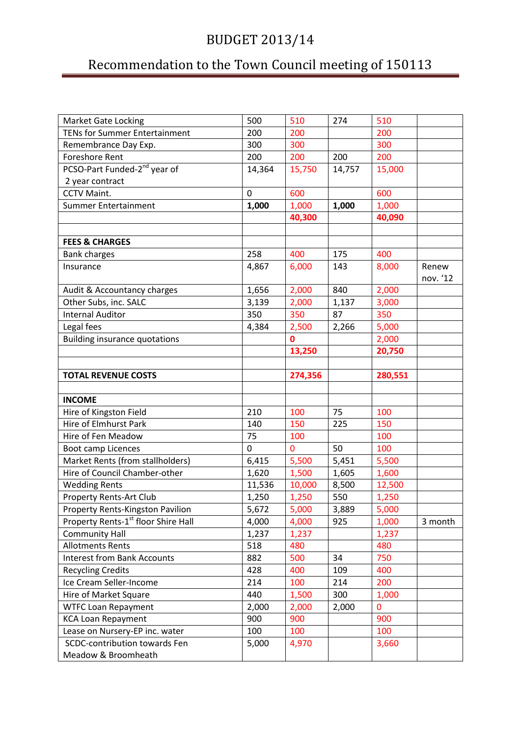## Recommendation to the Town Council meeting of 150113

| <b>Market Gate Locking</b>                      | 500      | 510     | 274    | 510     |          |
|-------------------------------------------------|----------|---------|--------|---------|----------|
| <b>TENs for Summer Entertainment</b>            | 200      | 200     |        | 200     |          |
| Remembrance Day Exp.                            | 300      | 300     |        | 300     |          |
| <b>Foreshore Rent</b>                           | 200      | 200     | 200    | 200     |          |
| PCSO-Part Funded-2 <sup>nd</sup> year of        | 14,364   | 15,750  | 14,757 | 15,000  |          |
| 2 year contract                                 |          |         |        |         |          |
| CCTV Maint.                                     | $\Omega$ | 600     |        | 600     |          |
| Summer Entertainment                            | 1,000    | 1,000   | 1,000  | 1,000   |          |
|                                                 |          | 40,300  |        | 40,090  |          |
|                                                 |          |         |        |         |          |
| <b>FEES &amp; CHARGES</b>                       |          |         |        |         |          |
| <b>Bank charges</b>                             | 258      | 400     | 175    | 400     |          |
| Insurance                                       | 4,867    | 6,000   | 143    | 8,000   | Renew    |
|                                                 |          |         |        |         | nov. '12 |
| Audit & Accountancy charges                     | 1,656    | 2,000   | 840    | 2,000   |          |
| Other Subs, inc. SALC                           | 3,139    | 2,000   | 1,137  | 3,000   |          |
| <b>Internal Auditor</b>                         | 350      | 350     | 87     | 350     |          |
| Legal fees                                      | 4,384    | 2,500   | 2,266  | 5,000   |          |
| <b>Building insurance quotations</b>            |          | 0       |        | 2,000   |          |
|                                                 |          | 13,250  |        | 20,750  |          |
|                                                 |          |         |        |         |          |
| <b>TOTAL REVENUE COSTS</b>                      |          | 274,356 |        | 280,551 |          |
|                                                 |          |         |        |         |          |
| <b>INCOME</b>                                   |          |         |        |         |          |
| Hire of Kingston Field                          | 210      | 100     | 75     | 100     |          |
| Hire of Elmhurst Park                           | 140      | 150     | 225    | 150     |          |
| Hire of Fen Meadow                              | 75       | 100     |        | 100     |          |
| Boot camp Licences                              | 0        | 0       | 50     | 100     |          |
| Market Rents (from stallholders)                | 6,415    | 5,500   | 5,451  | 5,500   |          |
| Hire of Council Chamber-other                   | 1,620    | 1,500   | 1,605  | 1,600   |          |
| <b>Wedding Rents</b>                            | 11,536   | 10,000  | 8,500  | 12,500  |          |
| <b>Property Rents-Art Club</b>                  | 1,250    | 1,250   | 550    | 1,250   |          |
| Property Rents-Kingston Pavilion                | 5,672    | 5,000   | 3,889  | 5,000   |          |
| Property Rents-1 <sup>st</sup> floor Shire Hall | 4,000    | 4,000   | 925    | 1,000   | 3 month  |
| <b>Community Hall</b>                           | 1,237    | 1,237   |        | 1,237   |          |
| <b>Allotments Rents</b>                         |          |         |        |         |          |
| <b>Interest from Bank Accounts</b>              | 518      | 480     |        | 480     |          |
|                                                 | 882      | 500     | 34     | 750     |          |
| <b>Recycling Credits</b>                        | 428      | 400     | 109    | 400     |          |
| Ice Cream Seller-Income                         | 214      | 100     | 214    | 200     |          |
| Hire of Market Square                           | 440      | 1,500   | 300    | 1,000   |          |
| <b>WTFC Loan Repayment</b>                      | 2,000    | 2,000   | 2,000  | 0       |          |
| <b>KCA Loan Repayment</b>                       | 900      | 900     |        | 900     |          |
| Lease on Nursery-EP inc. water                  | 100      | 100     |        | 100     |          |
| SCDC-contribution towards Fen                   | 5,000    | 4,970   |        | 3,660   |          |